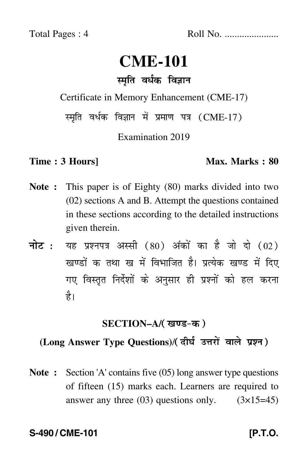# **CME-101**

### स्मृति वर्धक विज्ञान

Certificate in Memory Enhancement (CME-17)

स्मृति वर्धक विज्ञान में प्रमाण पत्र (CME-17)

Examination 2019

### **Time : 3 Hours]** Max. Marks : 80

- **Note :** This paper is of Eighty (80) marks divided into two (02) sections A and B. Attempt the questions contained in these sections according to the detailed instructions given therein.
- नोट : यह प्रश्नपत्र अस्सी (80) अंकों का है जो दो (02) खण्डों क तथा ख में विभाजित है। प्रत्येक खण्ड में दिए गए विस्तृत निर्देशों के अनुसार ही प्रश्नों को हल करन<mark>ा</mark> है।

## **SECTION–A/**

### **(Long Answer Type Questions)**/

**Note :** Section 'A' contains five (05) long answer type questions of fifteen (15) marks each. Learners are required to answer any three  $(03)$  questions only.  $(3\times15=45)$ 

S-490 / CME-101 *IP.T.O.*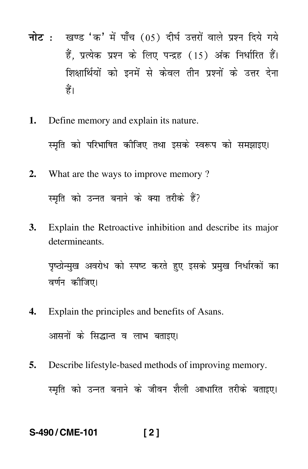- नोट : खण्ड 'क' में पाँच (05) दीर्घ उत्तरों वाले प्रश्न दिये गये हैं. प्रत्येक प्रश्न के लिए पन्द्रह (15) अंक निर्धारित हैं। शिक्षार्थियों को इनमें से केवल तीन प्रश्नों के उत्तर देना हैं।
- Define memory and explain its nature. 1. स्मति को परिभाषित कीजिए तथा इसके स्वरूप को समझाइए।
- $2.$ What are the ways to improve memory? स्मृति को उन्नत बनाने के क्या तरीके हैं?
- Explain the Retroactive inhibition and describe its major 3. determineants.

पृष्ठोन्मुख अवरोध को स्पष्ट करते हुए इसके प्रमुख निर्धारकों का वर्णन कीजिए।

- Explain the principles and benefits of Asans. 4. आसनों के सिद्धान्त व लाभ बताइए।
- Describe lifestyle-based methods of improving memory. 5.

स्मृति को उन्नत बनाने के जीवन शैली आधारित तरीके बताइए।

### S-490/CME-101  $[2]$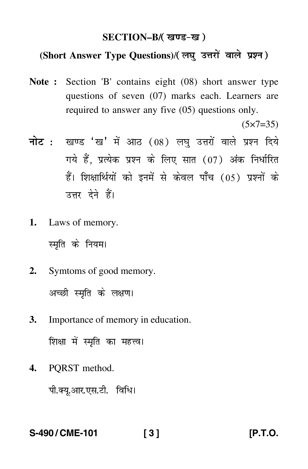### SECTION-B/(खण्ड-ख)

## (Short Answer Type Questions)/(लघ उत्तरों वाले प्रश्न)

Note: Section 'B' contains eight (08) short answer type questions of seven (07) marks each. Learners are required to answer any five (05) questions only.

 $(5x7=35)$ 

- नोट : खण्ड 'ख' में आठ (08) लघु उत्तरों वाले प्रश्न दिये गये हैं. प्रत्येक प्रश्न के लिए सात (07) अंक निर्धारित हैं। शिक्षार्थियों को इनमें से केवल पाँच (05) प्रश्नों के उत्तर देने हैं।
- 1. Laws of memory.

स्मति के नियम।

- Symtoms of good memory. 2. अच्छी स्मति के लक्षण।
- Importance of memory in education. **3.**

शिक्षा में स्मृति का महत्त्व।

4. PORST method.

पी.क्यु.आर.एस.टी. विधि।

### S-490/CME-101  $131$

IP.T.O.